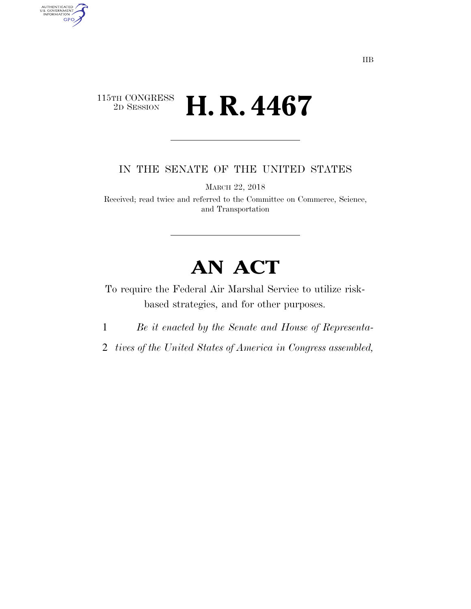## $\begin{array}{c} \textbf{115TH CONGRESS} \\ \textbf{2D SESION} \end{array}$ 2D SESSION **H. R. 4467**

AUTHENTICATED<br>U.S. GOVERNMENT<br>INFORMATION **GPO** 

IN THE SENATE OF THE UNITED STATES

MARCH 22, 2018

Received; read twice and referred to the Committee on Commerce, Science, and Transportation

## **AN ACT**

To require the Federal Air Marshal Service to utilize riskbased strategies, and for other purposes.

1 *Be it enacted by the Senate and House of Representa-*

2 *tives of the United States of America in Congress assembled,*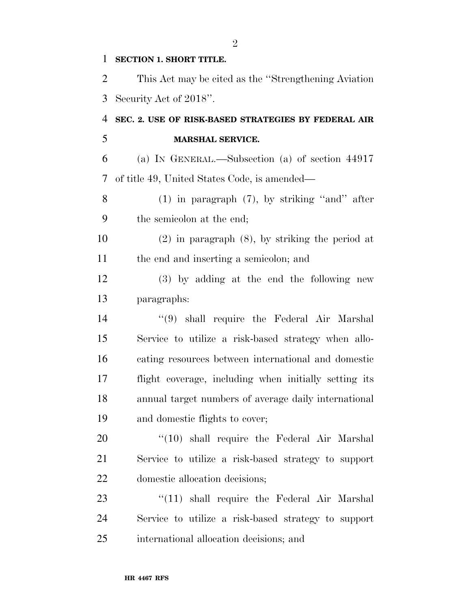## **SECTION 1. SHORT TITLE.**

 This Act may be cited as the ''Strengthening Aviation Security Act of 2018''.

## **SEC. 2. USE OF RISK-BASED STRATEGIES BY FEDERAL AIR MARSHAL SERVICE.**

 (a) IN GENERAL.—Subsection (a) of section 44917 of title 49, United States Code, is amended—

 (1) in paragraph (7), by striking ''and'' after the semicolon at the end;

 (2) in paragraph (8), by striking the period at the end and inserting a semicolon; and

 (3) by adding at the end the following new paragraphs:

 ''(9) shall require the Federal Air Marshal Service to utilize a risk-based strategy when allo- cating resources between international and domestic flight coverage, including when initially setting its annual target numbers of average daily international and domestic flights to cover;

20 '(10) shall require the Federal Air Marshal Service to utilize a risk-based strategy to support domestic allocation decisions;

23 ''(11) shall require the Federal Air Marshal Service to utilize a risk-based strategy to support international allocation decisions; and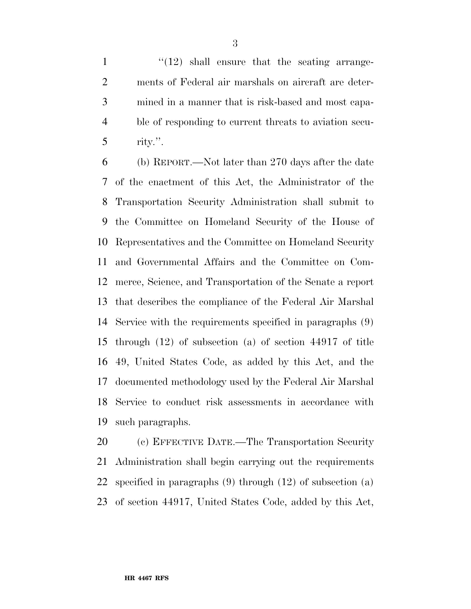$\frac{1}{12}$  ''(12) shall ensure that the seating arrange- ments of Federal air marshals on aircraft are deter- mined in a manner that is risk-based and most capa- ble of responding to current threats to aviation secu-rity.".

 (b) REPORT.—Not later than 270 days after the date of the enactment of this Act, the Administrator of the Transportation Security Administration shall submit to the Committee on Homeland Security of the House of Representatives and the Committee on Homeland Security and Governmental Affairs and the Committee on Com- merce, Science, and Transportation of the Senate a report that describes the compliance of the Federal Air Marshal Service with the requirements specified in paragraphs (9) through (12) of subsection (a) of section 44917 of title 49, United States Code, as added by this Act, and the documented methodology used by the Federal Air Marshal Service to conduct risk assessments in accordance with such paragraphs.

 (c) EFFECTIVE DATE.—The Transportation Security Administration shall begin carrying out the requirements specified in paragraphs (9) through (12) of subsection (a) of section 44917, United States Code, added by this Act,